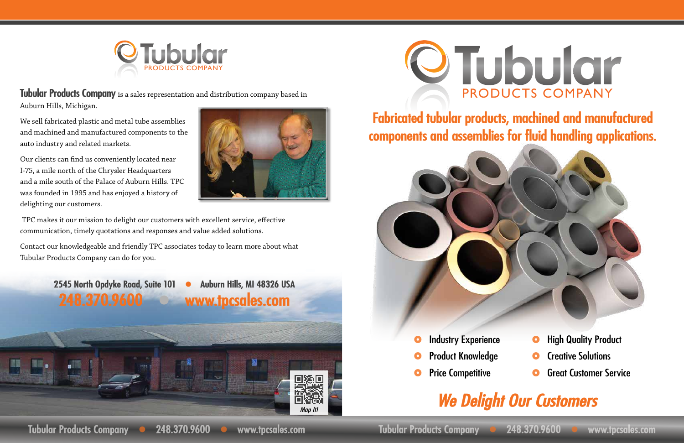## OTubular PRODUCTS COMPANY



## **Fabricated tubular products, machined and manufactured components and assemblies for fluid handling applications.**



- **O** Industry Experience
- Product Knowledge
- **O** Price Competitive





- Creative Solutions
- Great Customer Service

## *We Delight Our Customers*

**Tubular Products Company** is a sales representation and distribution company based in Auburn Hills, Michigan.

We sell fabricated plastic and metal tube assemblies and machined and manufactured components to the auto industry and related markets.

Our clients can find us conveniently located near I-75, a mile north of the Chrysler Headquarters and a mile south of the Palace of Auburn Hills. TPC was founded in 1995 and has enjoyed a history of delighting our customers.



 TPC makes it our mission to delight our customers with excellent service, effective communication, timely quotations and responses and value added solutions.

Contact our knowledgeable and friendly TPC associates today to learn more about what Tubular Products Company can do for you.

**2545 North Opdyke Road, Suite 101 · Auburn Hills, MI 48326 USA** 

**248.370.9600 Www.tpcsales.com**